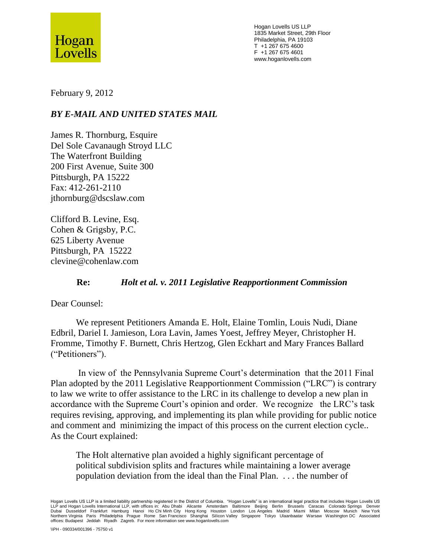

Hogan Lovells US LLP 1835 Market Street, 29th Floor Philadelphia, PA 19103 T +1 267 675 4600 F +1 267 675 4601 www.hoganlovells.com

February 9, 2012

## *BY E-MAIL AND UNITED STATES MAIL*

James R. Thornburg, Esquire Del Sole Cavanaugh Stroyd LLC The Waterfront Building 200 First Avenue, Suite 300 Pittsburgh, PA 15222 Fax: 412-261-2110 jthornburg@dscslaw.com

Clifford B. Levine, Esq. Cohen & Grigsby, P.C. 625 Liberty Avenue Pittsburgh, PA 15222 clevine@cohenlaw.com

## **Re:** *Holt et al. v. 2011 Legislative Reapportionment Commission*

Dear Counsel:

We represent Petitioners Amanda E. Holt, Elaine Tomlin, Louis Nudi, Diane Edbril, Dariel I. Jamieson, Lora Lavin, James Yoest, Jeffrey Meyer, Christopher H. Fromme, Timothy F. Burnett, Chris Hertzog, Glen Eckhart and Mary Frances Ballard ("Petitioners").

In view of the Pennsylvania Supreme Court's determination that the 2011 Final Plan adopted by the 2011 Legislative Reapportionment Commission ("LRC") is contrary to law we write to offer assistance to the LRC in its challenge to develop a new plan in accordance with the Supreme Court's opinion and order. We recognize the LRC's task requires revising, approving, and implementing its plan while providing for public notice and comment and minimizing the impact of this process on the current election cycle.. As the Court explained:

The Holt alternative plan avoided a highly significant percentage of political subdivision splits and fractures while maintaining a lower average population deviation from the ideal than the Final Plan. . . . the number of

Hogan Lovells US LLP is a limited liability partnership registered in the District of Columbia. "Hogan Lovells" is an international legal practice that includes Hogan Lovells US LLP and Hogan Lovells International LLP, with offices in: Abu Dhabi Aircante Amsterdam Baltimore Beijing Berlin Brussels Caracas Colorado Springs Denver<br>Dubai Dusseldorf Frankfurt Hamburg Hanoi Ho Chi Minh offices: Budapest Jeddah Riyadh Zagreb. For more information see www.hoganlovells.com